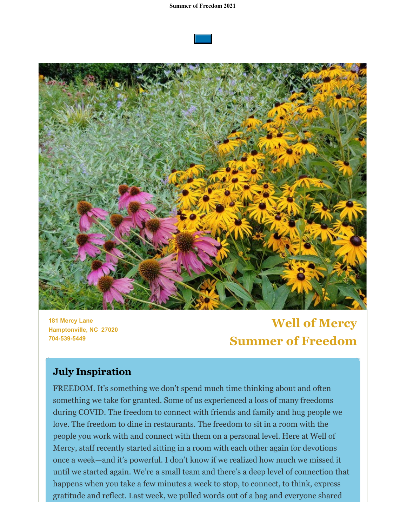



**181 Mercy Lane Hamptonville, NC 27020 704-539-5449**

**Well of Mercy Summer of Freedom**

## **July Inspiration**

FREEDOM. It's something we don't spend much time thinking about and often something we take for granted. Some of us experienced a loss of many freedoms during COVID. The freedom to connect with friends and family and hug people we love. The freedom to dine in restaurants. The freedom to sit in a room with the people you work with and connect with them on a personal level. Here at Well of Mercy, staff recently started sitting in a room with each other again for devotions once a week—and it's powerful. I don't know if we realized how much we missed it until we started again. We're a small team and there's a deep level of connection that happens when you take a few minutes a week to stop, to connect, to think, express gratitude and reflect. Last week, we pulled words out of a bag and everyone shared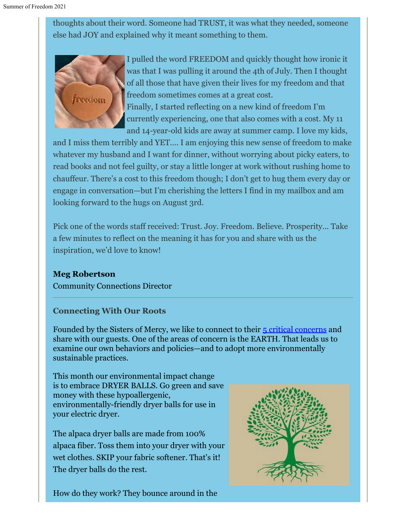thoughts about their word. Someone had TRUST, it was what they needed, someone else had JOY and explained why it meant something to them.



I pulled the word FREEDOM and quickly thought how ironic it was that I was pulling it around the 4th of July. Then I thought of all those that have given their lives for my freedom and that freedom sometimes comes at a great cost. Finally, I started reflecting on a new kind of freedom I'm currently experiencing, one that also comes with a cost. My 11 and 14-year-old kids are away at summer camp. I love my kids,

and I miss them terribly and YET…. I am enjoying this new sense of freedom to make whatever my husband and I want for dinner, without worrying about picky eaters, to read books and not feel guilty, or stay a little longer at work without rushing home to chauffeur. There's a cost to this freedom though; I don't get to hug them every day or engage in conversation—but I'm cherishing the letters I find in my mailbox and am looking forward to the hugs on August 3rd.

Pick one of the words staff received: Trust. Joy. Freedom. Believe. Prosperity... Take a few minutes to reflect on the meaning it has for you and share with us the inspiration, we'd love to know!

**Meg Robertson** Community Connections Director

### **Connecting With Our Roots**

Founded by the Sisters of Mercy, we like to connect to their [5 critical concerns](https://www.sistersofmercy.org/files/documents/resources/Justice/CriticalConcerns-1Pger-FINAL.pdf) and share with our guests. One of the areas of concern is the EARTH. That leads us to examine our own behaviors and policies—and to adopt more environmentally sustainable practices.

This month our environmental impact change is to embrace DRYER BALLS. Go green and save money with these hypoallergenic, environmentally-friendly dryer balls for use in your electric dryer.

The alpaca dryer balls are made from 100% alpaca fiber. Toss them into your dryer with your wet clothes. SKIP your fabric softener. That's it! The dryer balls do the rest.

How do they work? They bounce around in the

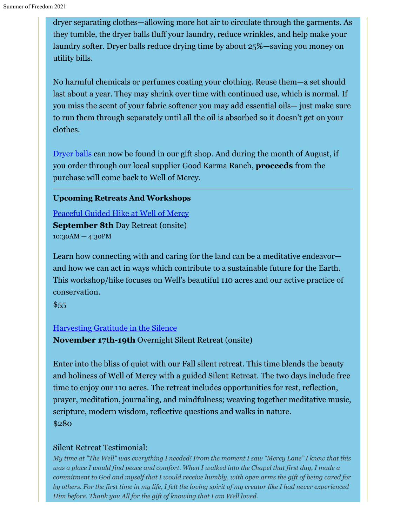dryer separating clothes—allowing more hot air to circulate through the garments. As they tumble, the dryer balls fluff your laundry, reduce wrinkles, and help make your laundry softer. Dryer balls reduce drying time by about 25%—saving you money on utility bills.

No harmful chemicals or perfumes coating your clothing. Reuse them—a set should last about a year. They may shrink over time with continued use, which is normal. If you miss the scent of your fabric softener you may add essential oils— just make sure to run them through separately until all the oil is absorbed so it doesn't get on your clothes.

[Dryer balls](https://www.goodkarmaranch.com/collections/homegoods/products/dryer-balls) can now be found in our gift shop. And during the month of August, if you order through our local supplier Good Karma Ranch, **proceeds** from the purchase will come back to Well of Mercy.

#### **Upcoming Retreats And Workshops**

[Peaceful Guided Hike at Well of Mercy](https://wellofmercy.networkforgood.com/events/32266-peaceful-day-at-well-of-mercy) **September 8th** Day Retreat (onsite) 10:30AM — 4:30PM

Learn how connecting with and caring for the land can be a meditative endeavor and how we can act in ways which contribute to a sustainable future for the Earth. This workshop/hike focuses on Well's beautiful 110 acres and our active practice of conservation.

 $$55$ 

#### [Harvesting Gratitude in the Silence](https://wellofmercy.networkforgood.com/events/32392-harvesting-gratitude-in-the-silence)

**November 17th-19th** Overnight Silent Retreat (onsite)

Enter into the bliss of quiet with our Fall silent retreat. This time blends the beauty and holiness of Well of Mercy with a guided Silent Retreat. The two days include free time to enjoy our 110 acres. The retreat includes opportunities for rest, reflection, prayer, meditation, journaling, and mindfulness; weaving together meditative music, scripture, modern wisdom, reflective questions and walks in nature. \$280

### Silent Retreat Testimonial:

*My time at "The Well" was everything I needed! From the moment I saw "Mercy Lane" I knew that this was a place I would find peace and comfort. When I walked into the Chapel that first day, I made a commitment to God and myself that I would receive humbly, with open arms the gift of being cared for by others. For the first time in my life, I felt the loving spirit of my creator like I had never experienced Him before. Thank you All for the gift of knowing that I am Well loved.*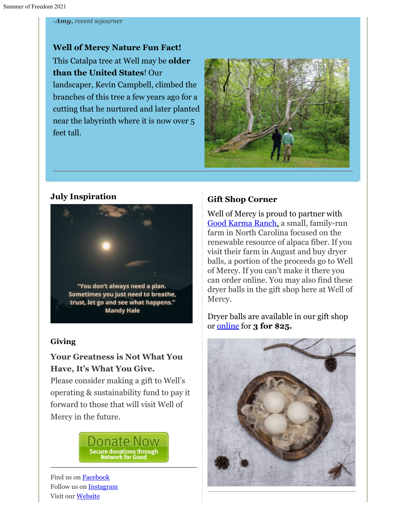#### *-Amy, recent sojourner*

**Well of Mercy Nature Fun Fact!** This Catalpa tree at Well may be **older than the United States**! Our landscaper, Kevin Campbell, climbed the branches of this tree a few years ago for a cutting that he nurtured and later planted near the labyrinth where it is now over 5 feet tall.



#### **July Inspiration**



#### **Giving**

## **Your Greatness is Not What You Have, It's What You Give.**

Please consider making a gift to Well's operating & sustainability fund to pay it forward to those that will visit Well of Mercy in the future.



Find us on **Facebook** Follow us on [Instagram](https://www.instagram.com/wellofmercy/) Visit our [Website](https://www.wellofmercy.org/)

#### **Gift Shop Corner**

Well of Mercy is proud to partner with [Good Karma Ranch](https://www.goodkarmaranch.com/), a small, family-run farm in North Carolina focused on the renewable resource of alpaca fiber. If you visit their farm in August and buy dryer balls, a portion of the proceeds go to Well of Mercy. If you can't make it there you can order online. You may also find these dryer balls in the gift shop here at Well of Mercy.

Dryer balls are available in our gift shop or [online](https://www.goodkarmaranch.com/collections/homegoods/products/dryer-balls) for **3 for \$25.**